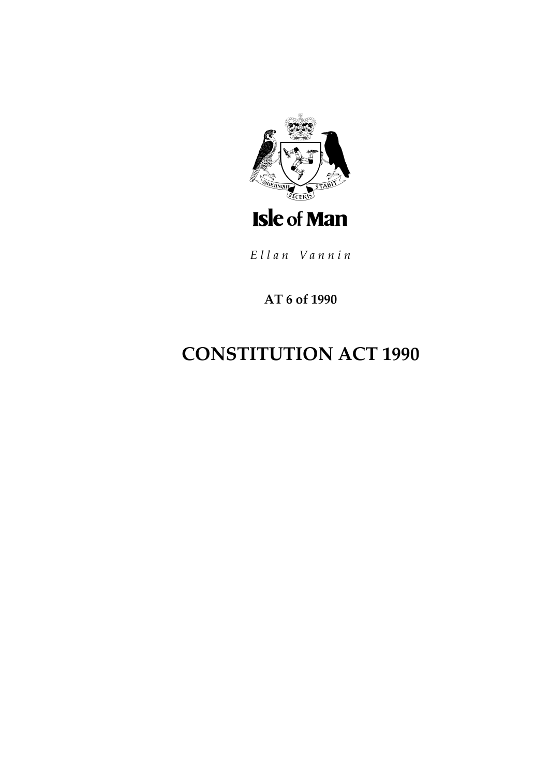

Ellan Vannin

AT 6 of 1990

# **CONSTITUTION ACT 1990**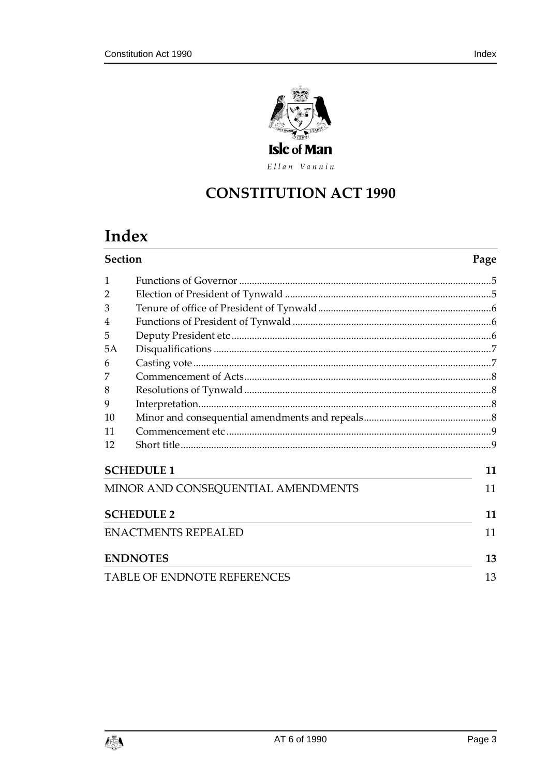

Ellan Vannin

## **CONSTITUTION ACT 1990**

## Index

| <b>Section</b>                     |                 | Page |
|------------------------------------|-----------------|------|
| 1                                  |                 |      |
| $\overline{2}$                     |                 |      |
| 3                                  |                 |      |
| 4                                  |                 |      |
| 5                                  |                 |      |
| 5A                                 |                 |      |
| 6                                  |                 |      |
| 7                                  |                 |      |
| 8                                  |                 |      |
| 9                                  |                 |      |
| 10                                 |                 |      |
| 11                                 |                 |      |
| 12                                 |                 |      |
| <b>SCHEDULE 1</b>                  |                 | 11   |
| MINOR AND CONSEQUENTIAL AMENDMENTS |                 | 11   |
| <b>SCHEDULE 2</b>                  |                 | 11   |
| <b>ENACTMENTS REPEALED</b>         |                 | 11   |
|                                    | <b>ENDNOTES</b> | 13   |
| <b>TABLE OF ENDNOTE REFERENCES</b> |                 | 13   |

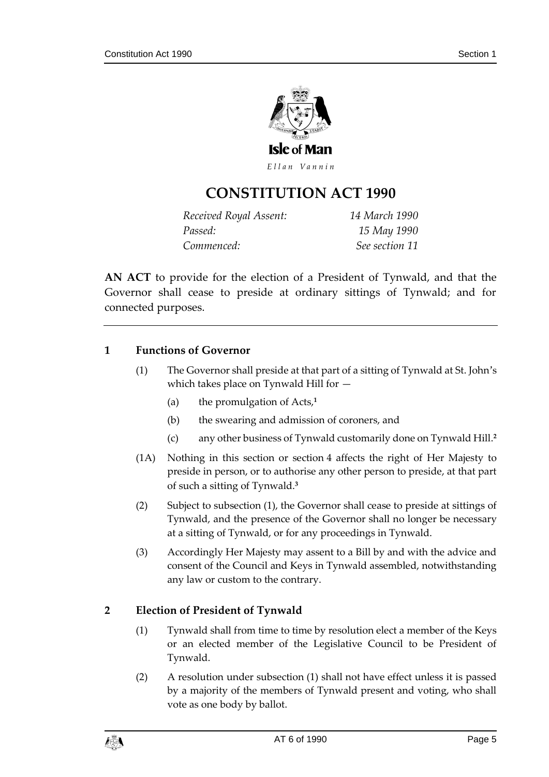

Ellan Vannin

## **CONSTITUTION ACT 199 0**

| Received Royal Assent: | 14 March 1990  |
|------------------------|----------------|
| Passed:                | 15 May 1990    |
| Commenced:             | See section 11 |

**AN ACT** to provide for the election of a President of Tynwald, and that the Governor shall cease to preside at ordinary sittings of Tynwald; and for connected purposes.

#### <span id="page-4-0"></span>**1 Functions of Governor**

- (1) The Governor shall preside at that part of a sitting of Tynwald at St. John's which takes place on Tynwald Hill for —
	- (a) the promulgation of Acts, **1**
	- (b) the swearing and admission of coroners, and
	- (c) any other business of Tynwald customarily done on Tynwald Hill.**<sup>2</sup>**
- (1A) Nothing in this section or section 4 affects the right of Her Majesty to preside in person, or to authorise any other person to preside, at that part of such a sitting of Tynwald.**<sup>3</sup>**
- (2) Subject to subsection (1), the Governor shall cease to preside at sittings of Tynwald, and the presence of the Governor shall no longer be necessary at a sitting of Tynwald, or for any proceedings in Tynwald.
- (3) Accordingly Her Majesty may assent to a Bill by and with the advice and consent of the Council and Keys in Tynwald assembled, notwithstanding any law or custom to the contrary.

#### <span id="page-4-1"></span>**2 Election of President of Tynwald**

- (1) Tynwald shall from time to time by resolution elect a member of the Keys or an elected member of the Legislative Council to be President of Tynwald.
- (2) A resolution under subsection (1) shall not have effect unless it is passed by a majority of the members of Tynwald present and voting, who shall vote as one body by ballot.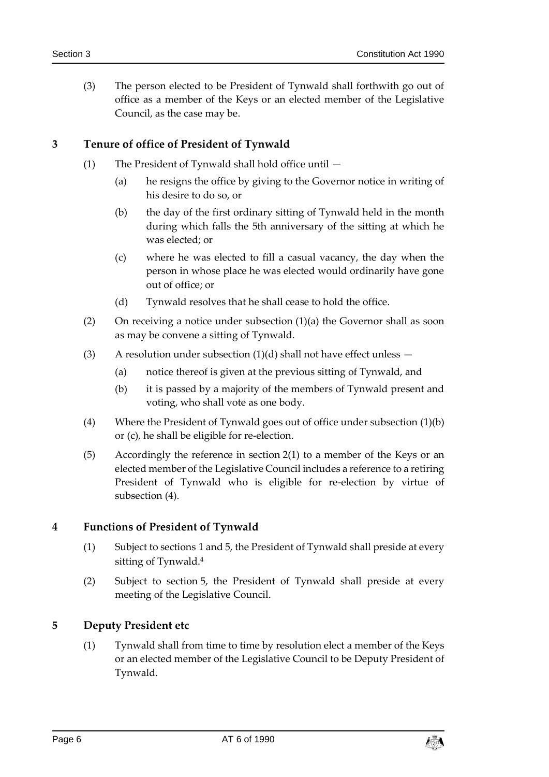(3) The person elected to be President of Tynwald shall forthwith go out of office as a member of the Keys or an elected member of the Legislative Council, as the case may be.

#### <span id="page-5-0"></span>**3 Tenure of office of President of Tynwald**

- (1) The President of Tynwald shall hold office until
	- (a) he resigns the office by giving to the Governor notice in writing of his desire to do so, or
	- (b) the day of the first ordinary sitting of Tynwald held in the month during which falls the 5th anniversary of the sitting at which he was elected; or
	- (c) where he was elected to fill a casual vacancy, the day when the person in whose place he was elected would ordinarily have gone out of office; or
	- (d) Tynwald resolves that he shall cease to hold the office.
- (2) On receiving a notice under subsection  $(1)(a)$  the Governor shall as soon as may be convene a sitting of Tynwald.
- (3) A resolution under subsection  $(1)(d)$  shall not have effect unless  $-$ 
	- (a) notice thereof is given at the previous sitting of Tynwald, and
	- (b) it is passed by a majority of the members of Tynwald present and voting, who shall vote as one body.
- (4) Where the President of Tynwald goes out of office under subsection (1)(b) or (c), he shall be eligible for re-election.
- (5) Accordingly the reference in section 2(1) to a member of the Keys or an elected member of the Legislative Council includes a reference to a retiring President of Tynwald who is eligible for re-election by virtue of subsection (4).

#### <span id="page-5-1"></span>**4 Functions of President of Tynwald**

- (1) Subject to sections 1 and 5, the President of Tynwald shall preside at every sitting of Tynwald.**<sup>4</sup>**
- (2) Subject to section 5, the President of Tynwald shall preside at every meeting of the Legislative Council.

#### <span id="page-5-2"></span>**5 Deputy President etc**

(1) Tynwald shall from time to time by resolution elect a member of the Keys or an elected member of the Legislative Council to be Deputy President of Tynwald.

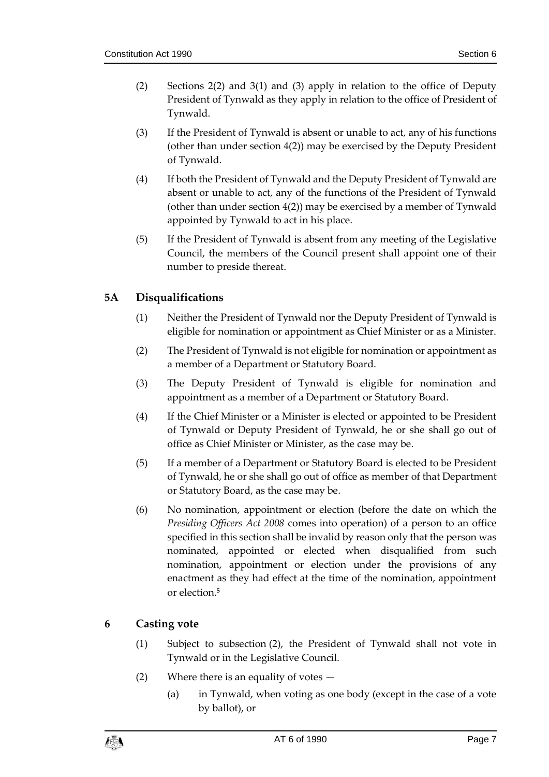- (2) Sections 2(2) and 3(1) and (3) apply in relation to the office of Deputy President of Tynwald as they apply in relation to the office of President of Tynwald.
- (3) If the President of Tynwald is absent or unable to act, any of his functions (other than under section 4(2)) may be exercised by the Deputy President of Tynwald.
- (4) If both the President of Tynwald and the Deputy President of Tynwald are absent or unable to act, any of the functions of the President of Tynwald (other than under section 4(2)) may be exercised by a member of Tynwald appointed by Tynwald to act in his place.
- (5) If the President of Tynwald is absent from any meeting of the Legislative Council, the members of the Council present shall appoint one of their number to preside thereat.

## <span id="page-6-0"></span>**5A Disqualifications**

- (1) Neither the President of Tynwald nor the Deputy President of Tynwald is eligible for nomination or appointment as Chief Minister or as a Minister.
- (2) The President of Tynwald is not eligible for nomination or appointment as a member of a Department or Statutory Board.
- (3) The Deputy President of Tynwald is eligible for nomination and appointment as a member of a Department or Statutory Board.
- (4) If the Chief Minister or a Minister is elected or appointed to be President of Tynwald or Deputy President of Tynwald, he or she shall go out of office as Chief Minister or Minister, as the case may be.
- (5) If a member of a Department or Statutory Board is elected to be President of Tynwald, he or she shall go out of office as member of that Department or Statutory Board, as the case may be.
- (6) No nomination, appointment or election (before the date on which the *Presiding Officers Act 2008* comes into operation) of a person to an office specified in this section shall be invalid by reason only that the person was nominated, appointed or elected when disqualified from such nomination, appointment or election under the provisions of any enactment as they had effect at the time of the nomination, appointment or election.**<sup>5</sup>**

## <span id="page-6-1"></span>**6 Casting vote**

- (1) Subject to subsection (2), the President of Tynwald shall not vote in Tynwald or in the Legislative Council.
- (2) Where there is an equality of votes
	- (a) in Tynwald, when voting as one body (except in the case of a vote by ballot), or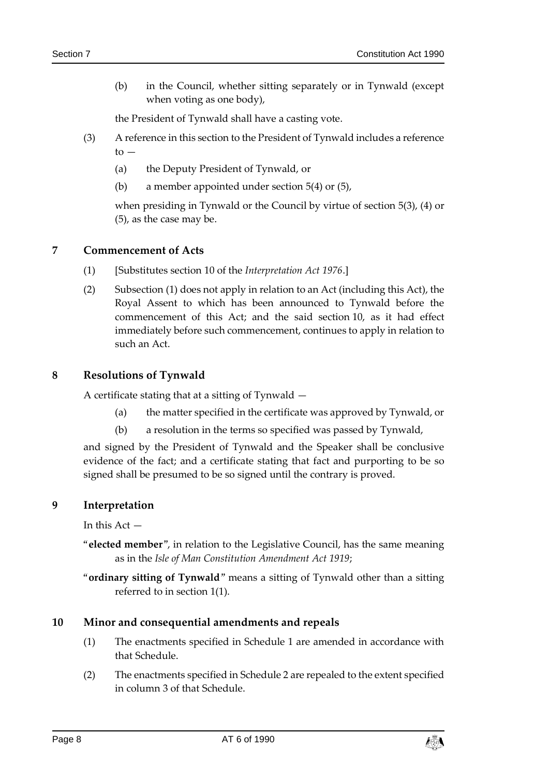(b) in the Council, whether sitting separately or in Tynwald (except when voting as one body),

the President of Tynwald shall have a casting vote.

- (3) A reference in this section to the President of Tynwald includes a reference  $to -$ 
	- (a) the Deputy President of Tynwald, or
	- (b) a member appointed under section 5(4) or (5),

when presiding in Tynwald or the Council by virtue of section 5(3), (4) or (5), as the case may be.

#### <span id="page-7-0"></span>**7 Commencement of Acts**

- (1) [Substitutes section 10 of the *Interpretation Act 1976*.]
- (2) Subsection (1) does not apply in relation to an Act (including this Act), the Royal Assent to which has been announced to Tynwald before the commencement of this Act; and the said section 10, as it had effect immediately before such commencement, continues to apply in relation to such an Act.

#### <span id="page-7-1"></span>**8 Resolutions of Tynwald**

A certificate stating that at a sitting of Tynwald —

- (a) the matter specified in the certificate was approved by Tynwald, or
- (b) a resolution in the terms so specified was passed by Tynwald,

and signed by the President of Tynwald and the Speaker shall be conclusive evidence of the fact; and a certificate stating that fact and purporting to be so signed shall be presumed to be so signed until the contrary is proved.

#### <span id="page-7-2"></span>**9 Interpretation**

In this Act —

- "**elected member**", in relation to the Legislative Council, has the same meaning as in the *Isle of Man Constitution Amendment Act 1919*;
- "**ordinary sitting of Tynwald**" means a sitting of Tynwald other than a sitting referred to in section 1(1).

#### <span id="page-7-3"></span>**10 Minor and consequential amendments and repeals**

- (1) The enactments specified in Schedule 1 are amended in accordance with that Schedule.
- (2) The enactments specified in Schedule 2 are repealed to the extent specified in column 3 of that Schedule.

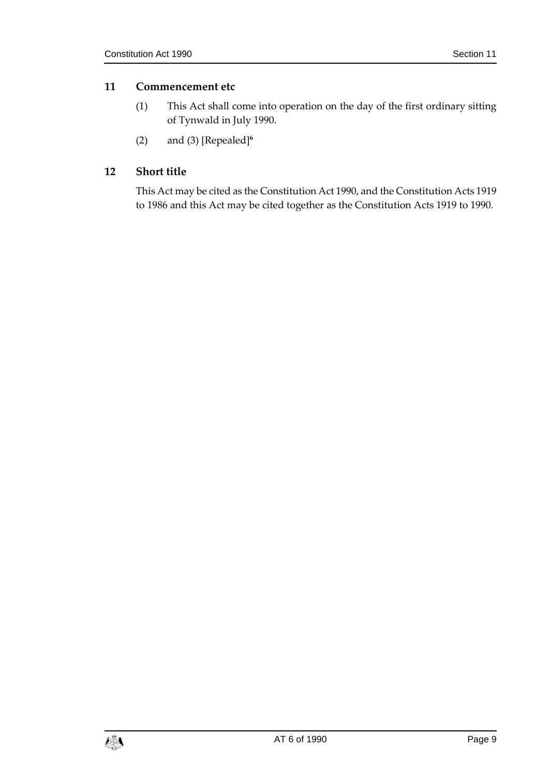#### <span id="page-8-0"></span>**11 Commencement etc**

- (1) This Act shall come into operation on the day of the first ordinary sitting of Tynwald in July 1990.
- (2) and (3) [Repealed]**<sup>6</sup>**

### <span id="page-8-1"></span>**12 Short title**

This Act may be cited as the Constitution Act 1990, and the Constitution Acts 1919 to 1986 and this Act may be cited together as the Constitution Acts 1919 to 1990.

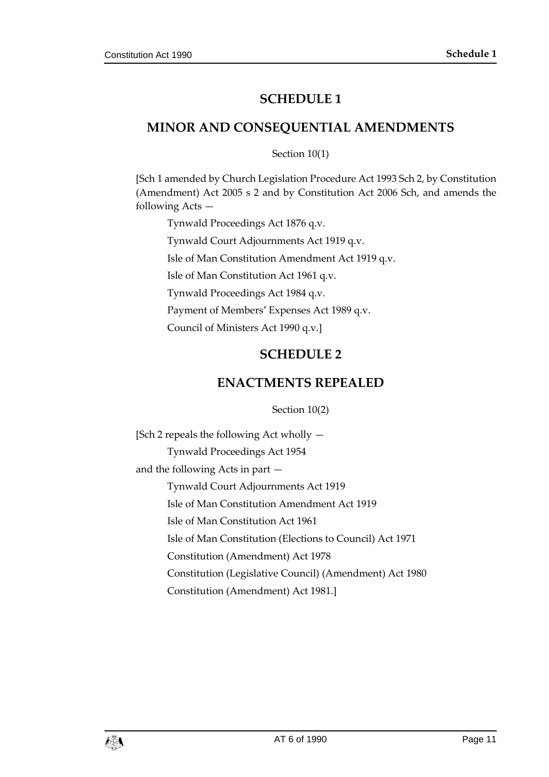## **SCHEDULE 1**

## <span id="page-10-1"></span><span id="page-10-0"></span>**MINOR AND CONSEQUENTIAL AMENDMENTS**

Section 10(1)

[Sch 1 amended by Church Legislation Procedure Act 1993 Sch 2, by Constitution (Amendment) Act 2005 s 2 and by Constitution Act 2006 Sch, and amends the following Acts —

Tynwald Proceedings Act 1876 q.v. Tynwald Court Adjournments Act 1919 q.v. Isle of Man Constitution Amendment Act 1919 q.v. Isle of Man Constitution Act 1961 q.v. Tynwald Proceedings Act 1984 q.v. Payment of Members' Expenses Act 1989 q.v. Council of Ministers Act 1990 q.v.]

## **SCHEDULE 2**

## **ENACTMENTS REPEALED**

Section 10(2)

<span id="page-10-3"></span><span id="page-10-2"></span>[Sch 2 repeals the following Act wholly — Tynwald Proceedings Act 1954 and the following Acts in part — Tynwald Court Adjournments Act 1919 Isle of Man Constitution Amendment Act 1919 Isle of Man Constitution Act 1961 Isle of Man Constitution (Elections to Council) Act 1971 Constitution (Amendment) Act 1978 Constitution (Legislative Council) (Amendment) Act 1980 Constitution (Amendment) Act 1981.]